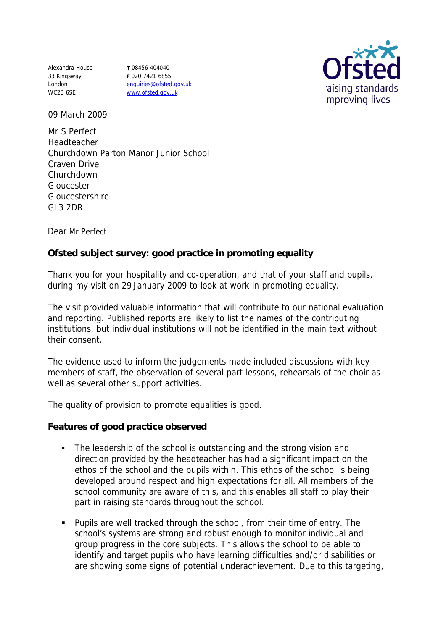Alexandra House 33 Kingsway London WC2B 6SE

**T** 08456 404040 **F** 020 7421 6855 enquiries@ofsted.gov.uk www.ofsted.gov.uk



09 March 2009

Mr S Perfect Headteacher Churchdown Parton Manor Junior School Craven Drive Churchdown Gloucester Gloucestershire GL3 2DR

Dear Mr Perfect

**Ofsted subject survey: good practice in promoting equality** 

Thank you for your hospitality and co-operation, and that of your staff and pupils, during my visit on 29 January 2009 to look at work in promoting equality.

The visit provided valuable information that will contribute to our national evaluation and reporting. Published reports are likely to list the names of the contributing institutions, but individual institutions will not be identified in the main text without their consent.

The evidence used to inform the judgements made included discussions with key members of staff, the observation of several part-lessons, rehearsals of the choir as well as several other support activities.

The quality of provision to promote equalities is good.

**Features of good practice observed**

- The leadership of the school is outstanding and the strong vision and direction provided by the headteacher has had a significant impact on the ethos of the school and the pupils within. This ethos of the school is being developed around respect and high expectations for all. All members of the school community are aware of this, and this enables all staff to play their part in raising standards throughout the school.
- Pupils are well tracked through the school, from their time of entry. The school's systems are strong and robust enough to monitor individual and group progress in the core subjects. This allows the school to be able to identify and target pupils who have learning difficulties and/or disabilities or are showing some signs of potential underachievement. Due to this targeting,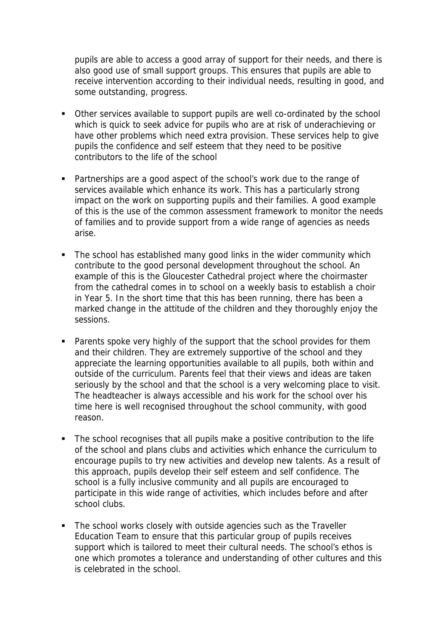pupils are able to access a good array of support for their needs, and there is also good use of small support groups. This ensures that pupils are able to receive intervention according to their individual needs, resulting in good, and some outstanding, progress.

- Other services available to support pupils are well co-ordinated by the school which is quick to seek advice for pupils who are at risk of underachieving or have other problems which need extra provision. These services help to give pupils the confidence and self esteem that they need to be positive contributors to the life of the school
- Partnerships are a good aspect of the school's work due to the range of services available which enhance its work. This has a particularly strong impact on the work on supporting pupils and their families. A good example of this is the use of the common assessment framework to monitor the needs of families and to provide support from a wide range of agencies as needs arise.
- The school has established many good links in the wider community which contribute to the good personal development throughout the school. An example of this is the Gloucester Cathedral project where the choirmaster from the cathedral comes in to school on a weekly basis to establish a choir in Year 5. In the short time that this has been running, there has been a marked change in the attitude of the children and they thoroughly enjoy the sessions.
- **Parents spoke very highly of the support that the school provides for them** and their children. They are extremely supportive of the school and they appreciate the learning opportunities available to all pupils, both within and outside of the curriculum. Parents feel that their views and ideas are taken seriously by the school and that the school is a very welcoming place to visit. The headteacher is always accessible and his work for the school over his time here is well recognised throughout the school community, with good reason.
- The school recognises that all pupils make a positive contribution to the life of the school and plans clubs and activities which enhance the curriculum to encourage pupils to try new activities and develop new talents. As a result of this approach, pupils develop their self esteem and self confidence. The school is a fully inclusive community and all pupils are encouraged to participate in this wide range of activities, which includes before and after school clubs.
- The school works closely with outside agencies such as the Traveller Education Team to ensure that this particular group of pupils receives support which is tailored to meet their cultural needs. The school's ethos is one which promotes a tolerance and understanding of other cultures and this is celebrated in the school.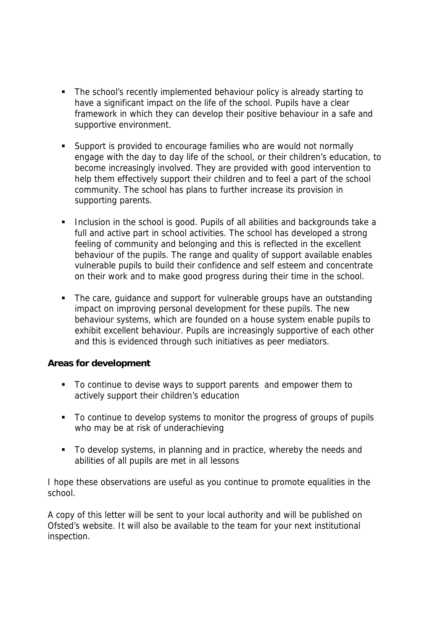- The school's recently implemented behaviour policy is already starting to have a significant impact on the life of the school. Pupils have a clear framework in which they can develop their positive behaviour in a safe and supportive environment.
- Support is provided to encourage families who are would not normally engage with the day to day life of the school, or their children's education, to become increasingly involved. They are provided with good intervention to help them effectively support their children and to feel a part of the school community. The school has plans to further increase its provision in supporting parents.
- **Inclusion in the school is good. Pupils of all abilities and backgrounds take a** full and active part in school activities. The school has developed a strong feeling of community and belonging and this is reflected in the excellent behaviour of the pupils. The range and quality of support available enables vulnerable pupils to build their confidence and self esteem and concentrate on their work and to make good progress during their time in the school.
- The care, quidance and support for vulnerable groups have an outstanding impact on improving personal development for these pupils. The new behaviour systems, which are founded on a house system enable pupils to exhibit excellent behaviour. Pupils are increasingly supportive of each other and this is evidenced through such initiatives as peer mediators.

**Areas for development**

- To continue to devise ways to support parents and empower them to actively support their children's education
- To continue to develop systems to monitor the progress of groups of pupils who may be at risk of underachieving
- To develop systems, in planning and in practice, whereby the needs and abilities of all pupils are met in all lessons

I hope these observations are useful as you continue to promote equalities in the school.

A copy of this letter will be sent to your local authority and will be published on Ofsted's website. It will also be available to the team for your next institutional inspection.